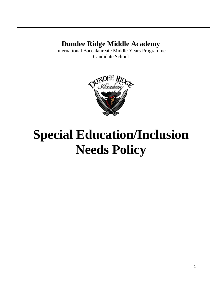# **Dundee Ridge Middle Academy**

International Baccalaureate Middle Years Programme Candidate School



# **Special Education/Inclusion Needs Policy**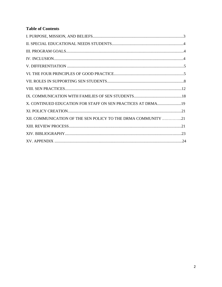# **Table of Contents**

| X. CONTINUED EDUCATION FOR STAFF ON SEN PRACTICES AT DRMA19   |  |
|---------------------------------------------------------------|--|
|                                                               |  |
| XII. COMMUNICATION OF THE SEN POLICY TO THE DRMA COMMUNITY 21 |  |
|                                                               |  |
|                                                               |  |
|                                                               |  |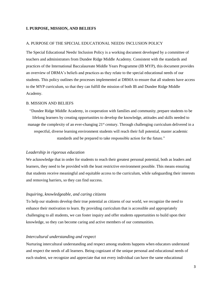#### **I. PURPOSE, MISSION, AND BELIEFS**

#### A. PURPOSE OF THE SPECIAL EDUCATIONAL NEEDS/ INCLUSION POLICY

The Special Educational Needs/ Inclusion Policy is a working document developed by a committee of teachers and administrators from Dundee Ridge Middle Academy. Consistent with the standards and practices of the International Baccalaureate Middle Years Programme (IB MYP), this document provides an overview of DRMA's beliefs and practices as they relate to the special educational needs of our students. This policy outlines the processes implemented at DRMA to ensure that all students have access to the MYP curriculum, so that they can fulfill the mission of both IB and Dundee Ridge Middle Academy.

#### B. MISSION AND BELIEFS

"Dundee Ridge Middle Academy, in cooperation with families and community, prepare students to be lifelong learners by creating opportunities to develop the knowledge, attitudes and skills needed to manage the complexity of an ever-changing  $21<sup>st</sup>$  century. Through challenging curriculum delivered in a respectful, diverse learning environment students will reach their full potential, master academic standards and be prepared to take responsible action for the future."

#### *Leadership in rigorous education*

We acknowledge that in order for students to reach their greatest personal potential, both as leaders and learners, they need to be provided with the least restrictive environment possible. This means ensuring that students receive meaningful and equitable access to the curriculum, while safeguarding their interests and removing barriers, so they can find success.

#### *Inquiring, knowledgeable, and caring citizens*

To help our students develop their true potential as citizens of our world, we recognize the need to enhance their motivation to learn. By providing curriculum that is accessible and appropriately challenging to all students, we can foster inquiry and offer students opportunities to build upon their knowledge, so they can become caring and active members of our communities.

#### *Intercultural understanding and respect*

Nurturing intercultural understanding and respect among students happens when educators understand and respect the needs of all learners. Being cognizant of the unique personal and educational needs of each student, we recognize and appreciate that not every individual can have the same educational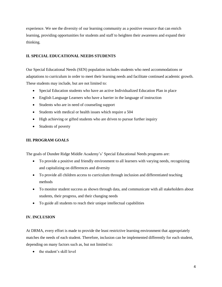experience. We see the diversity of our learning community as a positive resource that can enrich learning, providing opportunities for students and staff to heighten their awareness and expand their thinking.

# **II. SPECIAL EDUCATIONAL NEEDS STUDENTS**

Our Special Educational Needs (SEN) population includes students who need accommodations or adaptations to curriculum in order to meet their learning needs and facilitate continued academic growth. These students may include, but are not limited to:

- Special Education students who have an active Individualized Education Plan in place
- English Language Learners who have a barrier in the language of instruction
- Students who are in need of counseling support
- Students with medical or health issues which require a 504
- High achieving or gifted students who are driven to pursue further inquiry
- Students of poverty

# **III. PROGRAM GOALS**

The goals of Dundee Ridge Middle Academy's' Special Educational Needs programs are:

- To provide a positive and friendly environment to all learners with varying needs, recognizing and capitalizing on differences and diversity
- To provide all children access to curriculum through inclusion and differentiated teaching methods
- To monitor student success as shown through data, and communicate with all stakeholders about students, their progress, and their changing needs
- To guide all students to reach their unique intellectual capabilities

# **IV. INCLUSION**

At DRMA, every effort is made to provide the least restrictive learning environment that appropriately matches the needs of each student. Therefore, inclusion can be implemented differently for each student, depending on many factors such as, but not limited to:

• the student's skill level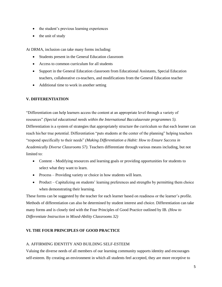- the student's previous learning experiences
- the unit of study

At DRMA, inclusion can take many forms including:

- Students present in the General Education classroom
- Access to common curriculum for all students
- Support in the General Education classroom from Educational Assistants, Special Education teachers, collaborative co-teachers, and modifications from the General Education teacher
- Additional time to work in another setting

# **V. DIFFERENTIATION**

"Differentiation can help learners access the content at an appropriate level through a variety of resources" *(Special educational needs within the International Baccalaureate programmes 5).* Differentiation is a system of strategies that appropriately structure the curriculum so that each learner can reach his/her true potential. Differentiation "puts students at the center of the planning" helping teachers "respond specifically to their needs" *(Making Differentiation a Habit: How to Ensure Success in Academically Diverse Classrooms 57)*. Teachers differentiate through various means including, but not limited to:

- Content Modifying resources and learning goals or providing opportunities for students to select what they want to learn.
- Process Providing variety or choice in how students will learn.
- Product Capitalizing on students' learning preferences and strengths by permitting them choice when demonstrating their learning.

These forms can be suggested by the teacher for each learner based on readiness or the learner's profile. Methods of differentiation can also be determined by student interest and choice. Differentiation can take many forms and is closely tied with the Four Principles of Good Practice outlined by IB. *(How to Differentiate Instruction in Mixed-Ability Classrooms 32)*

# **VI. THE FOUR PRINCIPLES OF GOOD PRACTICE**

# A. AFFIRMING IDENTITY AND BUILDING SELF-ESTEEM

Valuing the diverse needs of all members of our learning community supports identity and encourages self-esteem. By creating an environment in which all students feel accepted, they are more receptive to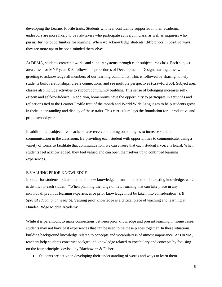developing the Learner Profile traits. Students who feel confidently supported in their academic endeavors are more likely to be risk-takers who participate actively in class, as well as inquirers who pursue further opportunities for learning. When we acknowledge students' differences in positive ways, they are more apt to be open-minded themselves.

At DRMA, students create networks and support systems through each subject area class. Each subject area class, for MYP years 0-3, follows the procedures of Developmental Design, starting class with a greeting to acknowledge all members of our learning community. This is followed by sharing, to help students build relationships, create connections, and see multiple perspectives (Crawford 60). Subject area classes also include activities to support community building. This sense of belonging increases selfesteem and self-confidence. In addition, homerooms have the opportunity to participate in activities and reflections tied to the Learner Profile trait of the month and World Wide Languages to help students grow in their understanding and display of these traits. This curriculum lays the foundation for a productive and proud school year.

In addition, all subject area teachers have received training on strategies to increase student communication in the classroom. By providing each student with opportunities to communicate, using a variety of forms to facilitate that communication, we can ensure that each student's voice is heard. When students feel acknowledged, they feel valued and can open themselves up to continued learning experiences.

#### B.VALUING PRIOR KNOWLEDGE

In order for students to learn and retain new knowledge, it must be tied to their existing knowledge, which is distinct to each student. "When planning the range of new learning that can take place in any individual, previous learning experiences or prior knowledge must be taken into consideration" *(IB Special educational needs 6)*. Valuing prior knowledge is a critical piece of teaching and learning at Dundee Ridge Middle Academy.

While it is paramount to make connections between prior knowledge and present learning, in some cases, students may not have past experiences that can be used to tie these pieces together. In these situations, building background knowledge related to concepts and vocabulary is of utmost importance. At DRMA, teachers help students construct background knowledge related to vocabulary and concepts by focusing on the four principles devised by Blachowicz & Fisher:

Students are active in developing their understanding of words and ways to learn them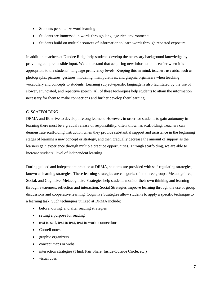- Students personalize word learning
- Students are immersed in words through language-rich environments
- Students build on multiple sources of information to learn words through repeated exposure

In addition, teachers at Dundee Ridge help students develop the necessary background knowledge by providing comprehensible input. We understand that acquiring new information is easier when it is appropriate to the students' language proficiency levels. Keeping this in mind, teachers use aids, such as photographs, pictures, gestures, modeling, manipulatives, and graphic organizers when teaching vocabulary and concepts to students. Learning subject-specific language is also facilitated by the use of slower, enunciated, and repetitive speech. All of these techniques help students to attain the information necessary for them to make connections and further develop their learning.

# C. SCAFFOLDING

DRMA and IB strive to develop lifelong learners. However, in order for students to gain autonomy in learning there must be a gradual release of responsibility, often known as scaffolding. Teachers can demonstrate scaffolding instruction when they provide substantial support and assistance in the beginning stages of learning a new concept or strategy, and then gradually decrease the amount of support as the learners gain experience through multiple practice opportunities. Through scaffolding, we are able to increase students' level of independent learning.

During guided and independent practice at DRMA, students are provided with self-regulating strategies, known as learning strategies. These learning strategies are categorized into three groups: Metacognitive, Social, and Cognitive. Metacognitive Strategies help students monitor their own thinking and learning through awareness, reflection and interaction. Social Strategies improve learning through the use of group discussions and cooperative learning. Cognitive Strategies allow students to apply a specific technique to a learning task. Such techniques utilized at DRMA include:

- before, during, and after reading strategies
- setting a purpose for reading
- text to self, text to text, text to world connections
- Cornell notes
- graphic organizers
- concept maps or webs
- interaction strategies (Think Pair Share, Inside-Outside Circle, etc.)
- visual cues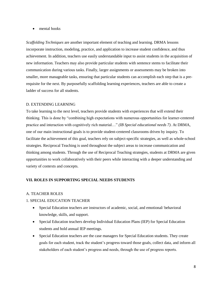• mental hooks

*Scaffolding Techniques* are another important element of teaching and learning. DRMA lessons incorporate instruction, modeling, practice, and application to increase student confidence, and thus achievement. In addition, teachers use easily understandable input to assist students in the acquisition of new information. Teachers may also provide particular students with sentence stems to facilitate their communication during various tasks. Finally, larger assignments or assessments may be broken into smaller, more manageable tasks, ensuring that particular students can accomplish each step that is a prerequisite for the next. By purposefully scaffolding learning experiences, teachers are able to create a ladder of success for all students.

#### D. EXTENDING LEARNING

To take learning to the next level, teachers provide students with experiences that will extend their thinking. This is done by "combining high expectations with numerous opportunities for learner-centered practice and interaction with cognitively rich material…" *(IB Special educational needs 7)*. At DRMA, one of our main instructional goals is to provide student-centered classrooms driven by inquiry. To facilitate the achievement of this goal, teachers rely on subject-specific strategies, as well as whole-school strategies. Reciprocal Teaching is used throughout the subject areas to increase communication and thinking among students. Through the use of Reciprocal Teaching strategies, students at DRMA are given opportunities to work collaboratively with their peers while interacting with a deeper understanding and variety of contexts and concepts.

#### **VII. ROLES IN SUPPORTING SPECIAL NEEDS STUDENTS**

#### A. TEACHER ROLES

#### 1. SPECIAL EDUCATION TEACHER

- Special Education teachers are instructors of academic, social, and emotional/ behavioral knowledge, skills, and support.
- Special Education teachers develop Individual Education Plans (IEP) for Special Education students and hold annual IEP meetings.
- Special Education teachers are the case managers for Special Education students. They create goals for each student, track the student's progress toward those goals, collect data, and inform all stakeholders of each student's progress and needs, through the use of progress reports.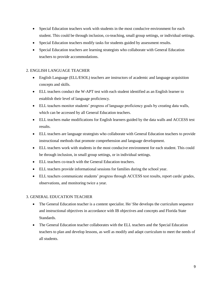- Special Education teachers work with students in the most conducive environment for each student. This could be through inclusion, co-teaching, small group settings, or individual settings.
- Special Education teachers modify tasks for students guided by assessment results.
- Special Education teachers are learning strategists who collaborate with General Education teachers to provide accommodations.

# 2. ENGLISH LANGUAGE TEACHER

- English Language (ELL/ESOL) teachers are instructors of academic and language acquisition concepts and skills.
- ELL teachers conduct the W-APT test with each student identified as an English learner to establish their level of language proficiency.
- ELL teachers monitor students' progress of language proficiency goals by creating data walls, which can be accessed by all General Education teachers.
- ELL teachers make modifications for English learners guided by the data walls and ACCESS test results.
- ELL teachers are language strategists who collaborate with General Education teachers to provide instructional methods that promote comprehension and language development.
- ELL teachers work with students in the most conducive environment for each student. This could be through inclusion, in small group settings, or in individual settings.
- ELL teachers co-teach with the General Education teachers.
- ELL teachers provide informational sessions for families during the school year.
- ELL teachers communicate students' progress through ACCESS test results, report cards/ grades, observations, and monitoring twice a year.

# 3. GENERAL EDUCATION TEACHER

- The General Education teacher is a content specialist. He/ She develops the curriculum sequence and instructional objectives in accordance with IB objectives and concepts and Florida State Standards.
- The General Education teacher collaborates with the ELL teachers and the Special Education teachers to plan and develop lessons, as well as modify and adapt curriculum to meet the needs of all students.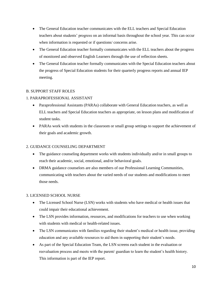- The General Education teacher communicates with the ELL teachers and Special Education teachers about students' progress on an informal basis throughout the school year. This can occur when information is requested or if questions/ concerns arise.
- The General Education teacher formally communicates with the ELL teachers about the progress of monitored and observed English Learners through the use of reflection sheets.
- The General Education teacher formally communicates with the Special Education teachers about the progress of Special Education students for their quarterly progress reports and annual IEP meeting.

# B. SUPPORT STAFF ROLES

# 1. PARAPROFESSIONAL ASSISTANT

- Paraprofessional Assistants (PARAs) collaborate with General Education teachers, as well as ELL teachers and Special Education teachers as appropriate, on lesson plans and modification of student tasks.
- PARAs work with students in the classroom or small group settings to support the achievement of their goals and academic growth.

# 2. GUIDANCE COUNSELING DEPARTMENT

- The guidance counseling department works with students individually and/or in small groups to reach their academic, social, emotional, and/or behavioral goals.
- DRMA guidance counselors are also members of our Professional Learning Communities, communicating with teachers about the varied needs of our students and modifications to meet those needs.

# 3. LICENSED SCHOOL NURSE

- The Licensed School Nurse (LSN) works with students who have medical or health issues that could impair their educational achievement.
- The LSN provides information, resources, and modifications for teachers to use when working with students with medical or health-related issues.
- The LSN communicates with families regarding their student's medical or health issue, providing education and any available resources to aid them in supporting their student's needs.
- As part of the Special Education Team, the LSN screens each student in the evaluation or reevaluation process and meets with the parent/ guardian to learn the student's health history. This information is part of the IEP report.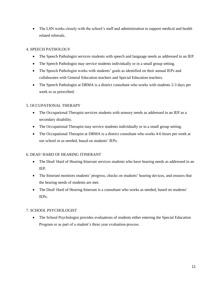• The LSN works closely with the school's staff and administration to support medical and health related referrals.

# 4. SPEECH PATHOLOGY

- The Speech Pathologist services students with speech and language needs as addressed in an IEP.
- The Speech Pathologist may service students individually or in a small group setting.
- The Speech Pathologist works with students' goals as identified on their annual IEPs and collaborates with General Education teachers and Special Education teachers.
- The Speech Pathologist at DRMA is a district consultant who works with students 2-3 days per week or as prescribed.

# 5. OCCUPATIONAL THERAPY

- The Occupational Therapist services students with sensory needs as addressed in an IEP as a secondary disability.
- The Occupational Therapist may service students individually or in a small group setting.
- The Occupational Therapist at DRMA is a district consultant who works 4-6 hours per week at our school or as needed, based on students' IEPs.

# 6. DEAF/ HARD OF HEARING ITINERANT

- The Deaf/Hard of Hearing Itinerant services students who have hearing needs as addressed in an IEP.
- The Itinerant monitors students' progress, checks on students' hearing devices, and ensures that the hearing needs of students are met.
- The Deaf/ Hard of Hearing Itinerant is a consultant who works as needed, based on students' IEPs.

# 7. SCHOOL PSYCHOLOGIST

• The School Psychologist provides evaluations of students either entering the Special Education Program or as part of a student's three year evaluation process.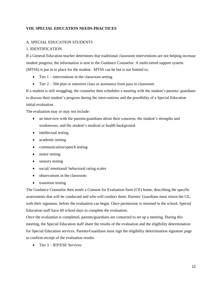# **VIII. SPECIAL EDUCATION NEEDS PRACTICES**

# A. SPECIAL EDUCATION STUDENTS

# 1. IDENTIFICATION

If a General Education teacher determines that traditional classroom interventions are not helping increase student progress, the information is sent to the Guidance Counselor. A multi-tiered support system (MTSS) is put in to place for the student. MTSS can be but is not limited to;

- $\bullet$  Tier 1 interventions in the classroom setting
- $\bullet$  Tier 2 504 plan or intensive class or assistance from para in classroom

If a student is still struggling, the counselor then schedules a meeting with the student's parents/ guardians to discuss their student's progress during the interventions and the possibility of a Special Education initial evaluation.

The evaluation may or may not include:

- an interview with the parents/guardians about their concerns, the student's strengths and weaknesses, and the student's medical or health background
- intellectual testing
- academic testing
- communication/speech testing
- motor testing
- sensory testing
- social/ emotional/ behavioral rating scales
- observations in the classroom
- transition testing

The Guidance Counselor then sends a Consent for Evaluation form (CE) home, describing the specific assessments that will be conducted and who will conduct them. Parents/ Guardians must return the CE, with their signature, before the evaluation can begin. Once permission is returned to the school, Special Education staff have 60 school days to complete the evaluation.

Once the evaluation is completed, parents/guardians are contacted to set up a meeting. During this meeting, the Special Education staff share the results of the evaluation and the eligibility determination for Special Education services. Parents/Guardians must sign the eligibility determination signature page to confirm receipt of the evaluation results.

• Tier 3 – IEP/ESE Services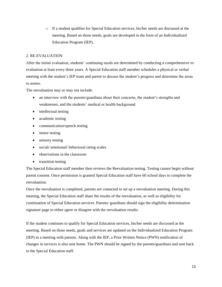o If a student qualifies for Special Education services, his/her needs are discussed at the meeting. Based on those needs, goals are developed in the form of an Individualized Education Program (IEP).

# 2. RE-EVALUATION

After the initial evaluation, students' continuing needs are determined by conducting a comprehensive reevaluation at least every three years. A Special Education staff member schedules a physical or verbal meeting with the student's IEP team and parent to discuss the student's progress and determine the areas to assess.

The reevaluation may or may not include:

- an interview with the parents/guardians about their concerns, the student's strengths and weaknesses, and the students' medical or health background
- intellectual testing
- academic testing
- communication/speech testing
- motor testing
- sensory testing
- social/ emotional/ behavioral rating scales
- observations in the classroom
- transition testing

The Special Education staff member then reviews the Reevaluation testing. Testing cannot begin without parent consent. Once permission is granted Special Education staff have 60 school days to complete the reevaluation.

Once the reevaluation is completed, parents are contacted to set up a reevaluation meeting. During this meeting, the Special Education staff share the results of the reevaluation, as well as eligibility for continuation of Special Education services. Parents/ guardians should sign the eligibility determination signature page to either agree or disagree with the reevaluation results.

If the student continues to qualify for Special Education services, his/her needs are discussed at the meeting. Based on those needs, goals and services are updated on the Individualized Education Program (IEP) in a meeting with parents. Along with the IEP, a Prior Written Notice (PWN) notification of changes in services is also sent home. The PWN should be signed by the parents/guardians and sent back to the Special Education staff.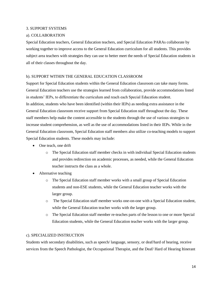#### 3. SUPPORT SYSTEMS

#### a). COLLABORATION

Special Education teachers, General Education teachers, and Special Education PARAs collaborate by working together to improve access to the General Education curriculum for all students. This provides subject area teachers with strategies they can use to better meet the needs of Special Education students in all of their classes throughout the day.

#### b). SUPPORT WITHIN THE GENERAL EDUCATION CLASSROOM

Support for Special Education students within the General Education classroom can take many forms. General Education teachers use the strategies learned from collaboration, provide accommodations listed in students' IEPs, to differentiate the curriculum and reach each Special Education student. In addition, students who have been identified (within their IEPs) as needing extra assistance in the General Education classroom receive support from Special Education staff throughout the day. These staff members help make the content accessible to the students through the use of various strategies to increase student comprehension, as well as the use of accommodations listed in their IEPs. While in the General Education classroom, Special Education staff members also utilize co-teaching models to support Special Education students. These models may include:

- One teach, one drift
	- o The Special Education staff member checks in with individual Special Education students and provides redirection on academic processes, as needed, while the General Education teacher instructs the class as a whole.
- Alternative teaching
	- o The Special Education staff member works with a small group of Special Education students and non-ESE students, while the General Education teacher works with the larger group.
	- o The Special Education staff member works one-on-one with a Special Education student, while the General Education teacher works with the larger group.
	- o The Special Education staff member re-teaches parts of the lesson to one or more Special Education students, while the General Education teacher works with the larger group.

#### c). SPECIALIZED INSTRUCTION

Students with secondary disabilities, such as speech/ language, sensory, or deaf/hard of hearing, receive services from the Speech Pathologist, the Occupational Therapist, and the Deaf/ Hard of Hearing Itinerant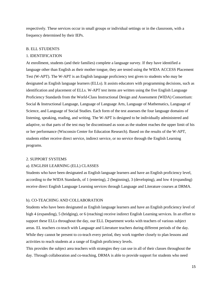respectively. These services occur in small groups or individual settings or in the classroom, with a frequency determined by their IEPs.

#### B. ELL STUDENTS

#### 1. IDENTIFICATION

At enrollment, students (and their families) complete a language survey. If they have identified a language other than English as their mother tongue, they are tested using the WIDA ACCESS Placement Test (W-APT). The W-APT is an English language proficiency test given to students who may be designated as English language learners (ELLs). It assists educators with programming decisions, such as identification and placement of ELLs. W-APT test items are written using the five English Language Proficiency Standards from the World-Class Instructional Design and Assessment (WIDA) Consortium: Social & Instructional Language, Language of Language Arts, Language of Mathematics, Language of Science, and Language of Social Studies. Each form of the test assesses the four language domains of listening, speaking, reading, and writing. The W-APT is designed to be individually administered and adaptive, so that parts of the test may be discontinued as soon as the student reaches the upper limit of his or her performance (Wisconsin Center for Education Research). Based on the results of the W-APT, students either receive direct service, indirect service, or no service through the English Learning programs.

#### 2. SUPPORT SYSTEMS

#### a). ENGLISH LEARNING (ELL) CLASSES

Students who have been designated as English language learners and have an English proficiency level, according to the WIDA Standards, of 1 (entering), 2 (beginning), 3 (developing), and low 4 (expanding) receive direct English Language Learning services through Language and Literature courses at DRMA.

#### b). CO-TEACHING AND COLLABORATION

Students who have been designated as English language learners and have an English proficiency level of high 4 (expanding), 5 (bridging), or 6 (reaching) receive indirect English Learning services. In an effort to support these ELLs throughout the day, our ELL Department works with teachers of various subject areas. EL teachers co-teach with Language and Literature teachers during different periods of the day. While they cannot be present to co-teach every period, they work together closely to plan lessons and activities to reach students at a range of English proficiency levels.

This provides the subject area teachers with strategies they can use in all of their classes throughout the day. Through collaboration and co-teaching, DRMA is able to provide support for students who need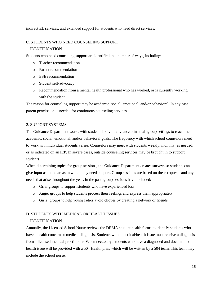indirect EL services, and extended support for students who need direct services.

# C. STUDENTS WHO NEED COUNSELING SUPPORT

# 1. IDENTIFICATION

Students who need counseling support are identified in a number of ways, including:

- o Teacher recommendation
- o Parent recommendation
- o ESE recommendation
- o Student self-advocacy
- o Recommendation from a mental health professional who has worked, or is currently working, with the student

The reason for counseling support may be academic, social, emotional, and/or behavioral. In any case, parent permission is needed for continuous counseling services.

# 2. SUPPORT SYSTEMS

The Guidance Department works with students individually and/or in small group settings to reach their academic, social, emotional, and/or behavioral goals. The frequency with which school counselors meet to work with individual students varies. Counselors may meet with students weekly, monthly, as needed, or as indicated on an IEP. In severe cases, outside counseling services may be brought in to support students.

When determining topics for group sessions, the Guidance Department creates surveys so students can give input as to the areas in which they need support. Group sessions are based on these requests and any needs that arise throughout the year. In the past, group sessions have included:

- o Grief groups to support students who have experienced loss
- o Anger groups to help students process their feelings and express them appropriately
- o Girls' groups to help young ladies avoid cliques by creating a network of friends

# D. STUDENTS WITH MEDICAL OR HEALTH ISSUES

# 1. IDENTIFICATION

Annually, the Licensed School Nurse reviews the DRMA student health forms to identify students who have a health concern or medical diagnosis. Students with a medical/health issue must receive a diagnosis from a licensed medical practitioner. When necessary, students who have a diagnosed and documented health issue will be provided with a 504 Health plan, which will be written by a 504 team. This team may include the school nurse.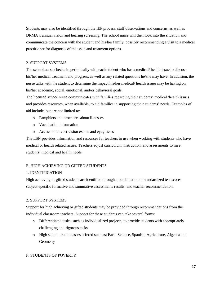Students may also be identified through the IEP process, staff observations and concerns, as well as DRMA's annual vision and hearing screening. The school nurse will then look into the situation and communicate the concern with the student and his/her family, possibly recommending a visit to a medical practitioner for diagnosis of the issue and treatment options.

# 2. SUPPORT SYSTEMS

The school nurse checks in periodically with each student who has a medical/ health issue to discuss his/her medical treatment and progress, as well as any related questions he/she may have. In addition, the nurse talks with the student to determine the impact his/her medical/ health issues may be having on his/her academic, social, emotional, and/or behavioral goals.

The licensed school nurse communicates with families regarding their students' medical /health issues and provides resources, when available, to aid families in supporting their students' needs. Examples of aid include, but are not limited to:

- o Pamphlets and brochures about illnesses
- o Vaccination information
- o Access to no-cost vision exams and eyeglasses

The LSN provides information and resources for teachers to use when working with students who have medical or health related issues. Teachers adjust curriculum, instruction, and assessments to meet students' medical and health needs

# E. HIGH ACHIEVING OR GIFTED STUDENTS

# 1. IDENTIFICATION

High achieving or gifted students are identified through a combination of standardized test scores subject-specific formative and summative assessments results, and teacher recommendation.

# 2. SUPPORT SYSTEMS

Support for high achieving or gifted students may be provided through recommendations from the individual classroom teachers. Support for these students can take several forms:

- o Differentiated tasks, such as individualized projects, to provide students with appropriately challenging and rigorous tasks
- o High school credit classes offered such as; Earth Science, Spanish, Agriculture, Algebra and **Geometry**

# F. STUDENTS OF POVERTY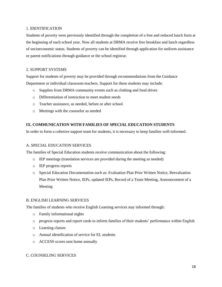#### 1. IDENTIFICATION

Students of poverty were previously identified through the completion of a free and reduced lunch form at the beginning of each school year. Now all students at DRMA receive free breakfast and lunch regardless of socioeconomic status. Students of poverty can be identified through application for uniform assistance or parent notifications through guidance or the school registrar.

# 2. SUPPORT SYSTEMS

Support for students of poverty may be provided through recommendations from the Guidance Department or individual classroom teachers. Support for these students may include:

- o Supplies from DRMA community events such as clothing and food drives
- o Differentiation of instruction to meet student needs
- o Teacher assistance, as needed, before or after school
- o Meetings with the counselor as needed

# **IX. COMMUNICATION WITH FAMILIES OF SPECIAL EDUCATION STUDENTS**

In order to form a cohesive support team for students, it is necessary to keep families well-informed.

# A. SPECIAL EDUCATION SERVICES

The families of Special Education students receive communication about the following:

- o IEP meetings (translation services are provided during the meeting as needed)
- o IEP progress reports
- o Special Education Documentation such as: Evaluation Plan Prior Written Notice, Reevaluation Plan Prior Written Notice, IEPs, updated IEPs, Record of a Team Meeting, Announcement of a Meeting

# B. ENGLISH LEARNING SERVICES

The families of students who receive English Learning services stay informed through:

- o Family informational nights
- o progress reports and report cards to inform families of their students' performance within English
- o Learning classes
- o Annual identification of service for EL students
- o ACCESS scores sent home annually

# C. COUNSELING SERVICES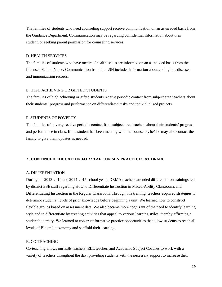The families of students who need counseling support receive communication on an as-needed basis from the Guidance Department. Communication may be regarding confidential information about their student, or seeking parent permission for counseling services.

#### D. HEALTH SERVICES

The families of students who have medical/ health issues are informed on an as-needed basis from the Licensed School Nurse. Communication from the LSN includes information about contagious diseases and immunization records.

#### E. HIGH ACHIEVING OR GIFTED STUDENTS

The families of high achieving or gifted students receive periodic contact from subject area teachers about their students' progress and performance on differentiated tasks and individualized projects.

#### F. STUDENTS OF POVERTY

The families of poverty receive periodic contact from subject area teachers about their students' progress and performance in class. If the student has been meeting with the counselor, he/she may also contact the family to give them updates as needed.

#### **X. CONTINUED EDUCATION FOR STAFF ON SEN PRACTICES AT DRMA**

#### A. DIFFERENTATION

During the 2013-2014 and 2014-2015 school years, DRMA teachers attended differentiation trainings led by district ESE staff regarding How to Differentiate Instruction in Mixed-Ability Classrooms and Differentiating Instruction in the Regular Classroom. Through this training, teachers acquired strategies to determine students' levels of prior knowledge before beginning a unit. We learned how to construct flexible groups based on assessment data. We also became more cognizant of the need to identify learning style and to differentiate by creating activities that appeal to various learning styles, thereby affirming a student's identity. We learned to construct formative practice opportunities that allow students to reach all levels of Bloom's taxonomy and scaffold their learning.

#### B. CO-TEACHING

Co-teaching allows our ESE teachers, ELL teacher, and Academic Subject Coaches to work with a variety of teachers throughout the day, providing students with the necessary support to increase their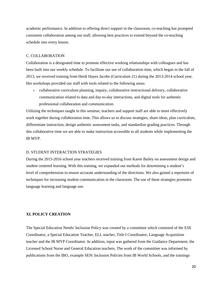academic performance. In addition to offering direct support in the classroom, co-teaching has prompted consistent collaboration among our staff, allowing best practices to extend beyond the co-teaching schedule into every lesson.

#### C. COLLABORATION

Collaboration is a designated time to promote effective working relationships with colleagues and has been built into our weekly schedule. To facilitate our use of collaboration time, which began in the fall of 2013, we received training from Heidi Hayes Jacobs (Curriculum 21) during the 2013-2014 school year. Her workshops provided our staff with tools related to the following areas:

o collaborative curriculum planning, inquiry, collaborative instructional delivery, collaborative communication related to data and day-to-day interactions, and digital tools for authentic professional collaboration and communication.

Utilizing the techniques taught in this seminar, teachers and support staff are able to more effectively work together during collaboration time. This allows us to discuss strategies, share ideas, plan curriculum, differentiate instruction, design authentic assessment tasks, and standardize grading practices. Through this collaborative time we are able to make instruction accessible to all students while implementing the IB MYP.

#### D. STUDENT INTERACTION STRATEGIES

During the 2015-2016 school year teachers received training from Karen Bailey on assessment design and student centered learning. With this training, we expanded our methods for determining a student's level of comprehension to ensure accurate understanding of the directions. We also gained a repertoire of techniques for increasing student communication in the classroom. The use of these strategies promotes language learning and language use.

#### **XI. POLICY CREATION**

The Special Education Needs/ Inclusion Policy was created by a committee which consisted of the ESE Coordinator, a Special Education Teacher, ELL teacher, Title I Coordinator, Language Acquisition teacher and the IB MYP Coordinator. In addition, input was gathered from the Guidance Department, the Licensed School Nurse and General Education teachers. The work of the committee was informed by publications from the IBO, example SEN/ Inclusion Policies from IB World Schools, and the trainings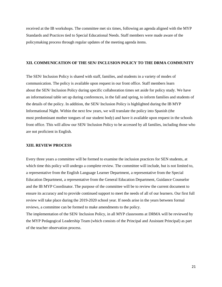received at the IB workshops. The committee met six times, following an agenda aligned with the MYP Standards and Practices tied to Special Educational Needs. Staff members were made aware of the policymaking process through regular updates of the meeting agenda items.

#### **XII. COMMUNICATION OF THE SEN/ INCLUSION POLICY TO THE DRMA COMMUNITY**

The SEN/ Inclusion Policy is shared with staff, families, and students in a variety of modes of communication. The policy is available upon request in our front office. Staff members learn about the SEN/ Inclusion Policy during specific collaboration times set aside for policy study. We have an informational table set up during conferences, in the fall and spring, to inform families and students of the details of the policy. In addition, the SEN/ Inclusion Policy is highlighted during the IB MYP Informational Night. Within the next few years, we will translate the policy into Spanish (the most predominant mother tongues of our student body) and have it available upon request in the schools front office. This will allow our SEN/ Inclusion Policy to be accessed by all families, including those who are not proficient in English.

#### **XIII. REVIEW PROCESS**

Every three years a committee will be formed to examine the inclusion practices for SEN students, at which time this policy will undergo a complete review. The committee will include, but is not limited to, a representative from the English Language Learner Department, a representative from the Special Education Department, a representative from the General Education Department, Guidance Counselor and the IB MYP Coordinator. The purpose of the committee will be to review the current document to ensure its accuracy and to provide continued support to meet the needs of all of our learners. Our first full review will take place during the 2019-2020 school year. If needs arise in the years between formal reviews, a committee can be formed to make amendments to the policy.

The implementation of the SEN/ Inclusion Policy, in all MYP classrooms at DRMA will be reviewed by the MYP Pedagogical Leadership Team (which consists of the Principal and Assistant Principal) as part of the teacher observation process.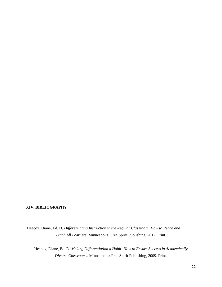# **XIV. BIBLIOGRAPHY**

Heacox, Diane, Ed. D. *Differentiating Instruction in the Regular Classroom: How to Reach and Teach All Learners.* Minneapolis: Free Spirit Publishing, 2012. Print.

Heacox, Diane, Ed. D. *Making Differentiation a Habit: How to Ensure Success in Academically Diverse Classrooms.* Minneapolis: Free Spirit Publishing, 2009. Print.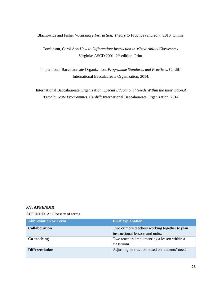Blachowicz and Fisher *Vocabulary Instruction: Theory to Practice* (2nd ed.), 2010. Online.

Tomlinson, Carol Ann *How to Differentiate Instruction in Mixed-Ability Classrooms.* Virginia: ASCD 2001. 2nd edition. Print.

International Baccalaureate Organization. *Programme Standards and Practices.* Cardiff: International Baccalaureate Organization, 2014.

International Baccalaureate Organization. *Special Educational Needs Within the International Baccalaureate Programmes.* Cardiff: International Baccalaureate Organization, 2014.

#### **XV. APPENDIX**

APPENDIX A: Glossary of terms

| <b>Abbreviation or Term</b> | <b>Brief explanation</b>                                                          |
|-----------------------------|-----------------------------------------------------------------------------------|
| <b>Collaboration</b>        | Two or more teachers working together to plan<br>instructional lessons and units. |
| Co-teaching                 | Two teachers implementing a lesson within a<br>classroom                          |
| <b>Differentiation</b>      | Adjusting instruction based on students' needs                                    |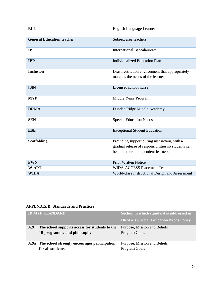| <b>ELL</b>                       | <b>English Language Learner</b>                                                                                                          |
|----------------------------------|------------------------------------------------------------------------------------------------------------------------------------------|
| <b>General Education teacher</b> | Subject area teachers                                                                                                                    |
| IB                               | <b>International Baccalaureate</b>                                                                                                       |
| <b>IEP</b>                       | <b>Individualized Education Plan</b>                                                                                                     |
| <b>Inclusion</b>                 | Least restriction environment that appropriately<br>matches the needs of the learner                                                     |
| <b>LSN</b>                       | Licensed school nurse                                                                                                                    |
| <b>MYP</b>                       | Middle Years Program                                                                                                                     |
| <b>DRMA</b>                      | Dundee Ridge Middle Academy                                                                                                              |
| <b>SEN</b>                       | <b>Special Education Needs</b>                                                                                                           |
| <b>ESE</b>                       | <b>Exceptional Student Education</b>                                                                                                     |
| <b>Scaffolding</b>               | Providing support during instruction, with a<br>gradual release of responsibilities so students can<br>become more independent learners. |
| <b>PWN</b>                       | <b>Prior Written Notice</b>                                                                                                              |
| <b>W-APT</b>                     | <b>WIDA-ACCESS Placement Test</b>                                                                                                        |
| <b>WIDA</b>                      | World-class Instructional Design and Assessment                                                                                          |

# **APPENDIX B: Standards and Practices**

|     | <b>IB MYP STANDARD</b>                            | Section in which standard is addressed in    |
|-----|---------------------------------------------------|----------------------------------------------|
|     |                                                   | <b>DRMA's Special Education Needs Policy</b> |
| A.9 | The school supports access for students to the    | Purpose, Mission and Beliefs                 |
|     | IB programme and philosophy                       | Program Goals                                |
|     |                                                   |                                              |
|     | A.9a The school strongly encourages participation | Purpose, Mission and Beliefs                 |
|     | for all students                                  | Program Goals                                |
|     |                                                   |                                              |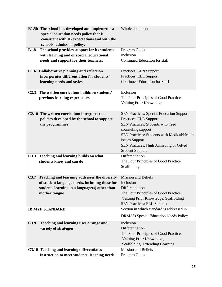|                            | B1.5b The school has developed and implements a    | Whole document                                  |
|----------------------------|----------------------------------------------------|-------------------------------------------------|
|                            | special education needs policy that is             |                                                 |
|                            | consistent with IB expectations and with the       |                                                 |
| schools' admission policy. |                                                    |                                                 |
| <b>B1.8</b>                | The school provides support for its students       | Program Goals                                   |
|                            | with learning and or special educational           | Inclusion                                       |
|                            | needs and support for their teachers.              | Continued Education for staff                   |
|                            |                                                    |                                                 |
| C1.6                       | <b>Collaborative planning and reflection</b>       | <b>Practices: SEN Support</b>                   |
|                            | incorporates differentiation for students'         | <b>Practices: ELL Support</b>                   |
| learning needs and styles. |                                                    | <b>Continued Education for Staff</b>            |
|                            |                                                    |                                                 |
|                            | C2.3 The written curriculum builds on students'    | Inclusion                                       |
|                            | previous learning experiences                      | The Four Principles of Good Practice:           |
|                            |                                                    | Valuing Prior Knowledge                         |
|                            |                                                    |                                                 |
|                            | C2.10 The written curriculum integrates the        | <b>SEN Practices: Special Education Support</b> |
|                            | policies developed by the school to support        | Practices: ELL Support                          |
| the programmes             |                                                    | <b>SEN Practices: Students who need</b>         |
|                            |                                                    | counseling support                              |
|                            |                                                    | SEN Practices: Students with Medical/Health     |
|                            |                                                    | <b>Issues Support</b>                           |
|                            |                                                    | SEN Practices: High Achieving or Gifted         |
|                            |                                                    | <b>Student Support</b>                          |
|                            | C3.3 Teaching and learning builds on what          | Differentiation                                 |
| students know and can do   |                                                    | The Four Principles of Good Practice            |
|                            |                                                    | Scaffolding                                     |
|                            |                                                    |                                                 |
|                            | C3.7 Teaching and learning addresses the diversity | <b>Mission and Beliefs</b>                      |
|                            | of student language needs, including those for     | Inclusion                                       |
|                            | students learning in a language(s) other than      | Differentiation                                 |
| mother tongue              |                                                    | The Four Principles of Good Practice:           |
|                            |                                                    | Valuing Prior Knowledge, Scaffolding            |
|                            |                                                    | <b>SEN Practices: ELL Support</b>               |
| <b>IB MYP STANDARD</b>     |                                                    | Section in which standard is addressed in       |
|                            |                                                    | DRMA's Special Education Needs Policy           |
| C3.9                       | Teaching and learning uses a range and             | Inclusion                                       |
| variety of strategies      |                                                    | Differentiation                                 |
|                            |                                                    | The Four Principles of Good Practice:           |
|                            |                                                    | Valuing Prior Knowledge,                        |
|                            |                                                    | Scaffolding, Extending Learning                 |
|                            | C3.10 Teaching and learning differentiates         | <b>Mission and Beliefs</b>                      |
|                            | instruction to meet students' learning needs       | Program Goals                                   |
|                            |                                                    |                                                 |